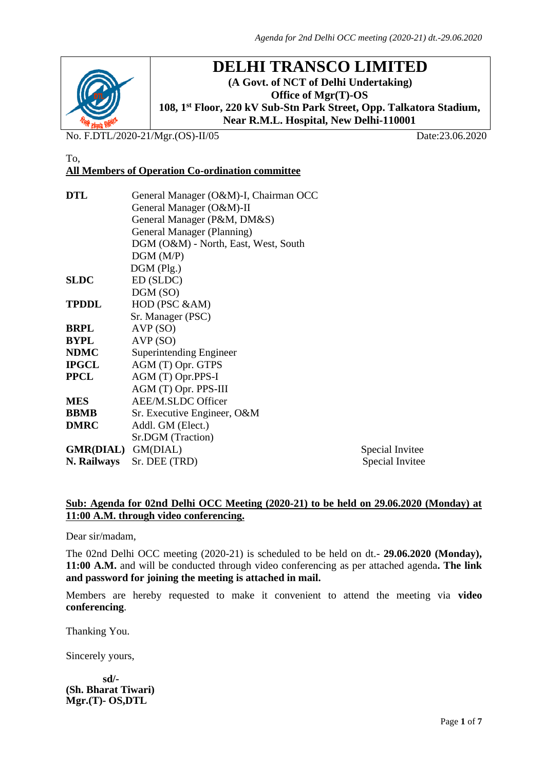**Special Invitee Special Invitee** 



# **DELHI TRANSCO LIMITED**

**(A Govt. of NCT of Delhi Undertaking) Office of Mgr(T)-OS 108, 1 st Floor, 220 kV Sub-Stn Park Street, Opp. Talkatora Stadium, Near R.M.L. Hospital, New Delhi-110001**

No. F.DTL/2020-21/Mgr.(OS)-II/05 Date:23.06.2020

#### To, **All Members of Operation Co-ordination committee**

| <b>DTL</b>         | General Manager (O&M)-I, Chairman OCC |  |  |
|--------------------|---------------------------------------|--|--|
|                    | General Manager (O&M)-II              |  |  |
|                    | General Manager (P&M, DM&S)           |  |  |
|                    | General Manager (Planning)            |  |  |
|                    | DGM (O&M) - North, East, West, South  |  |  |
|                    | DGM(M/P)                              |  |  |
|                    | $DGM$ (Plg.)                          |  |  |
| <b>SLDC</b>        | ED (SLDC)                             |  |  |
|                    | DGM (SO)                              |  |  |
| <b>TPDDL</b>       | HOD (PSC & AM)                        |  |  |
|                    | Sr. Manager (PSC)                     |  |  |
| BRPL               | AVP(SO)                               |  |  |
| <b>BYPL</b>        | AVP(SO)                               |  |  |
| <b>NDMC</b>        | <b>Superintending Engineer</b>        |  |  |
| <b>IPGCL</b>       | AGM (T) Opr. GTPS                     |  |  |
| <b>PPCL</b>        | AGM (T) Opr.PPS-I                     |  |  |
|                    | AGM (T) Opr. PPS-III                  |  |  |
| <b>MES</b>         | AEE/M.SLDC Officer                    |  |  |
| <b>BBMB</b>        | Sr. Executive Engineer, O&M           |  |  |
| <b>DMRC</b>        | Addl. GM (Elect.)                     |  |  |
|                    | Sr.DGM (Traction)                     |  |  |
| GMR(DIAL) GM(DIAL) |                                       |  |  |
| N. Railways        | Sr. DEE (TRD)                         |  |  |

## **Sub: Agenda for 02nd Delhi OCC Meeting (2020-21) to be held on 29.06.2020 (Monday) at 11:00 A.M. through video conferencing.**

Dear sir/madam,

The 02nd Delhi OCC meeting (2020-21) is scheduled to be held on dt.- **29.06.2020 (Monday), 11:00 A.M.** and will be conducted through video conferencing as per attached agenda**. The link and password for joining the meeting is attached in mail.**

Members are hereby requested to make it convenient to attend the meeting via **video conferencing**.

Thanking You.

Sincerely yours,

 **sd/- (Sh. Bharat Tiwari) Mgr.(T)- OS,DTL**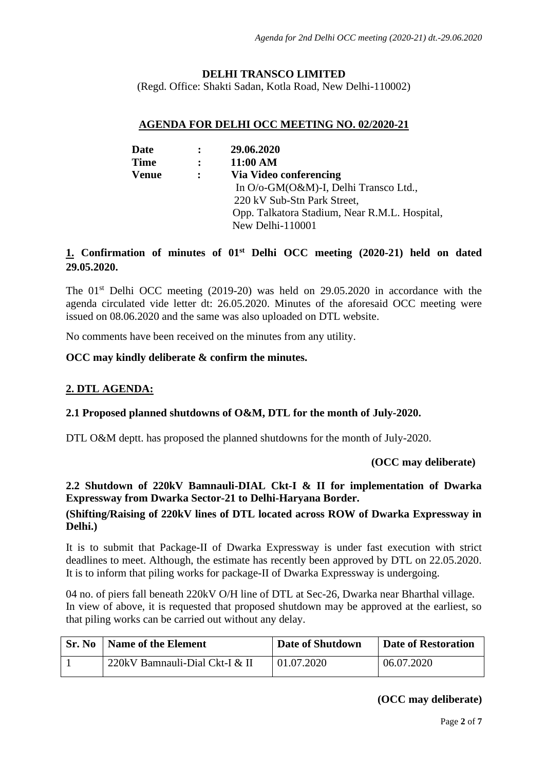#### **DELHI TRANSCO LIMITED**

(Regd. Office: Shakti Sadan, Kotla Road, New Delhi-110002)

## **AGENDA FOR DELHI OCC MEETING NO. 02/2020-21**

| Date        |                | 29.06.2020                                    |
|-------------|----------------|-----------------------------------------------|
| <b>Time</b> | $\ddot{\cdot}$ | 11:00 AM                                      |
| Venue       | $\ddot{\cdot}$ | Via Video conferencing                        |
|             |                | In O/o-GM(O&M)-I, Delhi Transco Ltd.,         |
|             |                | 220 kV Sub-Stn Park Street,                   |
|             |                | Opp. Talkatora Stadium, Near R.M.L. Hospital, |
|             |                | New Delhi-110001                              |

# **1. Confirmation of minutes of 01st Delhi OCC meeting (2020-21) held on dated 29.05.2020.**

The 01<sup>st</sup> Delhi OCC meeting (2019-20) was held on 29.05.2020 in accordance with the agenda circulated vide letter dt: 26.05.2020. Minutes of the aforesaid OCC meeting were issued on 08.06.2020 and the same was also uploaded on DTL website.

No comments have been received on the minutes from any utility.

#### **OCC may kindly deliberate & confirm the minutes.**

## **2. DTL AGENDA:**

## **2.1 Proposed planned shutdowns of O&M, DTL for the month of July-2020.**

DTL O&M deptt. has proposed the planned shutdowns for the month of July-2020.

 **(OCC may deliberate)**

# **2.2 Shutdown of 220kV Bamnauli-DIAL Ckt-I & II for implementation of Dwarka Expressway from Dwarka Sector-21 to Delhi-Haryana Border.**

# **(Shifting/Raising of 220kV lines of DTL located across ROW of Dwarka Expressway in Delhi.)**

It is to submit that Package-II of Dwarka Expressway is under fast execution with strict deadlines to meet. Although, the estimate has recently been approved by DTL on 22.05.2020. It is to inform that piling works for package-II of Dwarka Expressway is undergoing.

04 no. of piers fall beneath 220kV O/H line of DTL at Sec-26, Dwarka near Bharthal village. In view of above, it is requested that proposed shutdown may be approved at the earliest, so that piling works can be carried out without any delay.

| Sr. No | <b>Name of the Element</b>     | Date of Shutdown | <b>Date of Restoration</b> |
|--------|--------------------------------|------------------|----------------------------|
|        | 220kV Bamnauli-Dial Ckt-I & II | 01.07.2020       | 06.07.2020                 |

## **(OCC may deliberate)**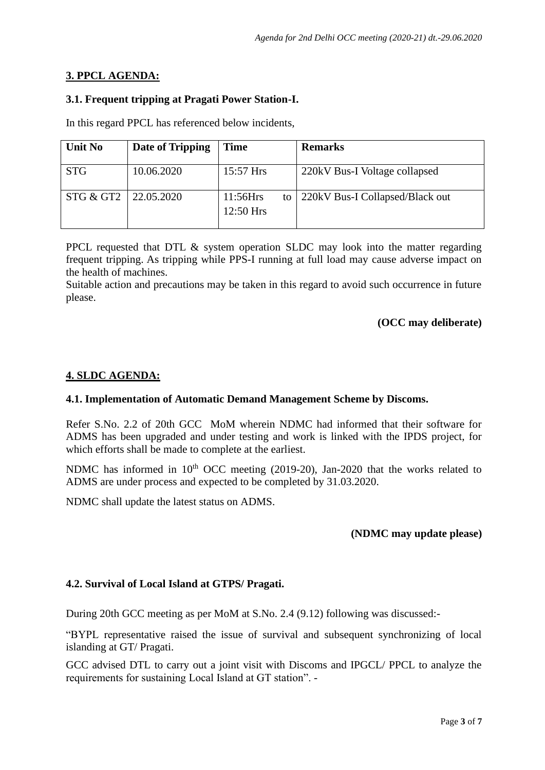## **3. PPCL AGENDA:**

# **3.1. Frequent tripping at Pragati Power Station-I.**

In this regard PPCL has referenced below incidents,

| Unit No    | Date of Tripping | <b>Time</b>                   | <b>Remarks</b>                  |
|------------|------------------|-------------------------------|---------------------------------|
| <b>STG</b> | 10.06.2020       | $15:57$ Hrs                   | 220kV Bus-I Voltage collapsed   |
| STG & GT2  | 22.05.2020       | 11:56Hrs<br>to<br>$12:50$ Hrs | 220kV Bus-I Collapsed/Black out |

PPCL requested that DTL & system operation SLDC may look into the matter regarding frequent tripping. As tripping while PPS-I running at full load may cause adverse impact on the health of machines.

Suitable action and precautions may be taken in this regard to avoid such occurrence in future please.

## **(OCC may deliberate)**

## **4. SLDC AGENDA:**

#### **4.1. Implementation of Automatic Demand Management Scheme by Discoms.**

Refer S.No. 2.2 of 20th GCC MoM wherein NDMC had informed that their software for ADMS has been upgraded and under testing and work is linked with the IPDS project, for which efforts shall be made to complete at the earliest.

NDMC has informed in  $10<sup>th</sup>$  OCC meeting (2019-20), Jan-2020 that the works related to ADMS are under process and expected to be completed by 31.03.2020.

NDMC shall update the latest status on ADMS.

## **(NDMC may update please)**

## **4.2. Survival of Local Island at GTPS/ Pragati.**

During 20th GCC meeting as per MoM at S.No. 2.4 (9.12) following was discussed:-

"BYPL representative raised the issue of survival and subsequent synchronizing of local islanding at GT/ Pragati.

GCC advised DTL to carry out a joint visit with Discoms and IPGCL/ PPCL to analyze the requirements for sustaining Local Island at GT station". -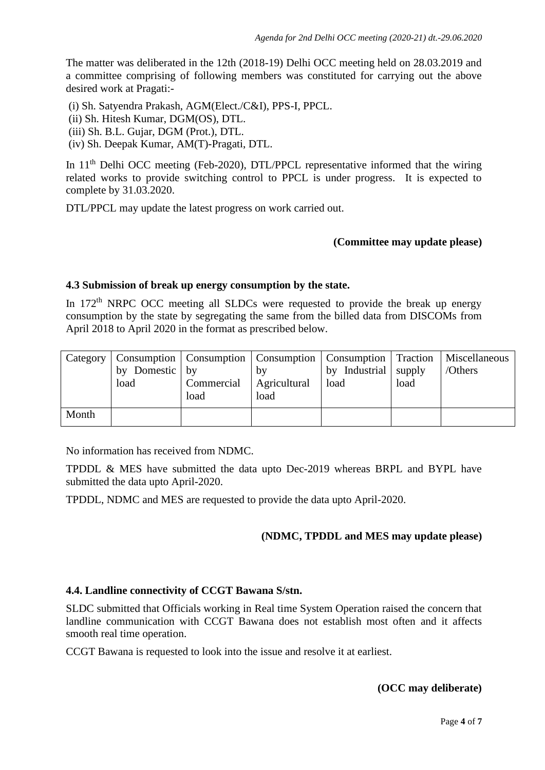The matter was deliberated in the 12th (2018-19) Delhi OCC meeting held on 28.03.2019 and a committee comprising of following members was constituted for carrying out the above desired work at Pragati:-

(i) Sh. Satyendra Prakash, AGM(Elect./C&I), PPS-I, PPCL.

(ii) Sh. Hitesh Kumar, DGM(OS), DTL.

(iii) Sh. B.L. Gujar, DGM (Prot.), DTL.

(iv) Sh. Deepak Kumar, AM(T)-Pragati, DTL.

In 11<sup>th</sup> Delhi OCC meeting (Feb-2020), DTL/PPCL representative informed that the wiring related works to provide switching control to PPCL is under progress. It is expected to complete by 31.03.2020.

DTL/PPCL may update the latest progress on work carried out.

#### **(Committee may update please)**

#### **4.3 Submission of break up energy consumption by the state.**

In  $172<sup>th</sup>$  NRPC OCC meeting all SLDCs were requested to provide the break up energy consumption by the state by segregating the same from the billed data from DISCOMs from April 2018 to April 2020 in the format as prescribed below.

|       | by Domestic by<br>load | Commercial   Agricultural<br>load | b٧<br>load | Category   Consumption   Consumption   Consumption   Consumption   Traction   Miscellaneous<br>by Industrial supply<br>load | load | /Others |
|-------|------------------------|-----------------------------------|------------|-----------------------------------------------------------------------------------------------------------------------------|------|---------|
| Month |                        |                                   |            |                                                                                                                             |      |         |

No information has received from NDMC.

TPDDL & MES have submitted the data upto Dec-2019 whereas BRPL and BYPL have submitted the data upto April-2020.

TPDDL, NDMC and MES are requested to provide the data upto April-2020.

#### **(NDMC, TPDDL and MES may update please)**

#### **4.4. Landline connectivity of CCGT Bawana S/stn.**

SLDC submitted that Officials working in Real time System Operation raised the concern that landline communication with CCGT Bawana does not establish most often and it affects smooth real time operation.

CCGT Bawana is requested to look into the issue and resolve it at earliest.

#### **(OCC may deliberate)**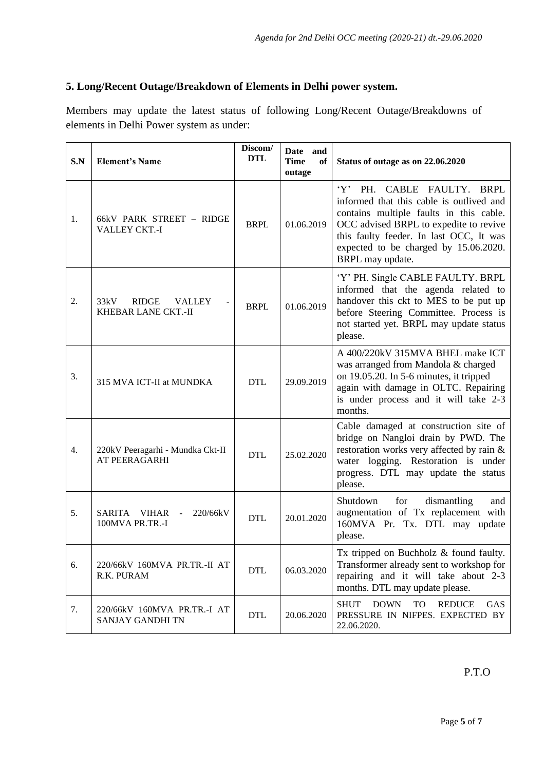# **5. Long/Recent Outage/Breakdown of Elements in Delhi power system.**

Members may update the latest status of following Long/Recent Outage/Breakdowns of elements in Delhi Power system as under:

| S.N | <b>Element's Name</b>                                           | Discom/<br><b>DTL</b> | Date and<br><b>Time</b><br>of<br>outage | Status of outage as on 22.06.2020                                                                                                                                                                                                                                     |
|-----|-----------------------------------------------------------------|-----------------------|-----------------------------------------|-----------------------------------------------------------------------------------------------------------------------------------------------------------------------------------------------------------------------------------------------------------------------|
| 1.  | 66kV PARK STREET - RIDGE<br>VALLEY CKT.-I                       | <b>BRPL</b>           | 01.06.2019                              | Y'<br>PH. CABLE FAULTY. BRPL<br>informed that this cable is outlived and<br>contains multiple faults in this cable.<br>OCC advised BRPL to expedite to revive<br>this faulty feeder. In last OCC, It was<br>expected to be charged by 15.06.2020.<br>BRPL may update. |
| 2.  | 33kV<br><b>RIDGE</b><br><b>VALLEY</b><br>KHEBAR LANE CKT.-II    | <b>BRPL</b>           | 01.06.2019                              | 'Y' PH. Single CABLE FAULTY. BRPL<br>informed that the agenda related to<br>handover this ckt to MES to be put up<br>before Steering Committee. Process is<br>not started yet. BRPL may update status<br>please.                                                      |
| 3.  | 315 MVA ICT-II at MUNDKA                                        | <b>DTL</b>            | 29.09.2019                              | A 400/220kV 315MVA BHEL make ICT<br>was arranged from Mandola & charged<br>on 19.05.20. In 5-6 minutes, it tripped<br>again with damage in OLTC. Repairing<br>is under process and it will take 2-3<br>months.                                                        |
| 4.  | 220kV Peeragarhi - Mundka Ckt-II<br>AT PEERAGARHI               | <b>DTL</b>            | 25.02.2020                              | Cable damaged at construction site of<br>bridge on Nangloi drain by PWD. The<br>restoration works very affected by rain &<br>water logging. Restoration is under<br>progress. DTL may update the status<br>please.                                                    |
| 5.  | SARITA<br>VIHAR<br>220/66kV<br>$\frac{1}{2}$<br>100MVA PR.TR.-I | <b>DTL</b>            | 20.01.2020                              | Shutdown<br>for<br>dismantling<br>and<br>augmentation of Tx replacement with<br>160MVA Pr. Tx. DTL may update<br>please.                                                                                                                                              |
| 6.  | 220/66kV 160MVA PR.TR.-II AT<br>R.K. PURAM                      | <b>DTL</b>            | 06.03.2020                              | Tx tripped on Buchholz & found faulty.<br>Transformer already sent to workshop for<br>repairing and it will take about 2-3<br>months. DTL may update please.                                                                                                          |
| 7.  | 220/66kV 160MVA PR.TR.-I AT<br>SANJAY GANDHI TN                 | <b>DTL</b>            | 20.06.2020                              | <b>SHUT</b><br><b>DOWN</b><br>GAS<br>TO<br><b>REDUCE</b><br>PRESSURE IN NIFPES. EXPECTED BY<br>22.06.2020.                                                                                                                                                            |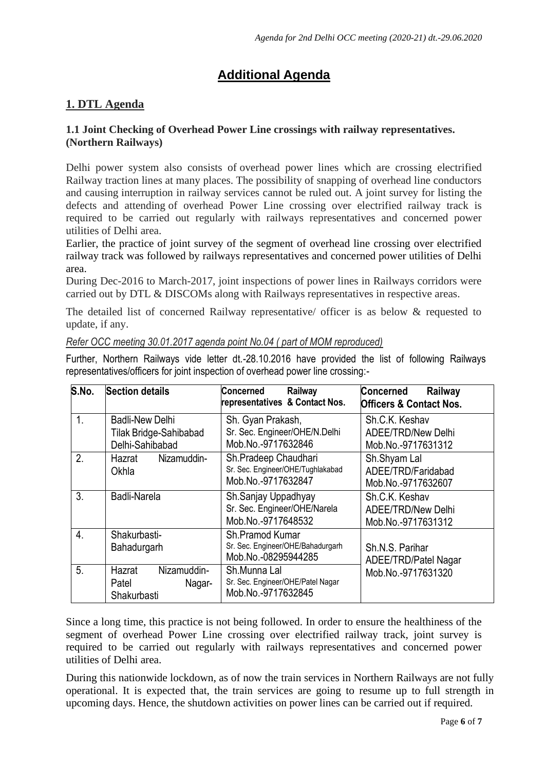# **Additional Agenda**

# **1. DTL Agenda**

# **1.1 Joint Checking of Overhead Power Line crossings with railway representatives. (Northern Railways)**

Delhi power system also consists of overhead power lines which are crossing electrified Railway traction lines at many places. The possibility of snapping of overhead line conductors and causing interruption in railway services cannot be ruled out. A joint survey for listing the defects and attending of overhead Power Line crossing over electrified railway track is required to be carried out regularly with railways representatives and concerned power utilities of Delhi area.

Earlier, the practice of joint survey of the segment of overhead line crossing over electrified railway track was followed by railways representatives and concerned power utilities of Delhi area.

During Dec-2016 to March-2017, joint inspections of power lines in Railways corridors were carried out by DTL & DISCOMs along with Railways representatives in respective areas.

The detailed list of concerned Railway representative/ officer is as below & requested to update, if any.

*Refer OCC meeting 30.01.2017 agenda point No.04 ( part of MOM reproduced)*

Further, Northern Railways vide letter dt.-28.10.2016 have provided the list of following Railways representatives/officers for joint inspection of overhead power line crossing:-

| S.No.          | <b>Section details</b>                                                     | Concerned<br>Railway<br>representatives & Contact Nos.                          | <b>Concerned</b><br>Railway<br><b>Officers &amp; Contact Nos.</b> |  |
|----------------|----------------------------------------------------------------------------|---------------------------------------------------------------------------------|-------------------------------------------------------------------|--|
| $\mathbf{1}$ . | <b>Badli-New Delhi</b><br><b>Tilak Bridge-Sahibabad</b><br>Delhi-Sahibabad | Sh. Gyan Prakash,<br>Sr. Sec. Engineer/OHE/N.Delhi<br>Mob.No.-9717632846        | Sh.C.K. Keshav<br>ADEE/TRD/New Delhi<br>Mob.No.-9717631312        |  |
| 2.             | Nizamuddin-<br>Hazrat<br><b>Okhla</b>                                      | Sh.Pradeep Chaudhari<br>Sr. Sec. Engineer/OHE/Tughlakabad<br>Mob.No.-9717632847 | Sh.Shyam Lal<br>ADEE/TRD/Faridabad<br>Mob.No.-9717632607          |  |
| 3.             | Badli-Narela                                                               | Sh.Sanjay Uppadhyay<br>Sr. Sec. Engineer/OHE/Narela<br>Mob.No.-9717648532       | Sh.C.K. Keshav<br>ADEE/TRD/New Delhi<br>Mob.No.-9717631312        |  |
| 4.             | Shakurbasti-<br>Bahadurgarh                                                | Sh.Pramod Kumar<br>Sr. Sec. Engineer/OHE/Bahadurgarh<br>Mob.No.-08295944285     | Sh.N.S. Parihar<br>ADEE/TRD/Patel Nagar                           |  |
| 5.             | Nizamuddin-<br>Hazrat<br>Patel<br>Nagar-<br>Shakurbasti                    | Sh.Munna Lal<br>Sr. Sec. Engineer/OHE/Patel Nagar<br>Mob.No.-9717632845         | Mob.No.-9717631320                                                |  |

Since a long time, this practice is not being followed. In order to ensure the healthiness of the segment of overhead Power Line crossing over electrified railway track, joint survey is required to be carried out regularly with railways representatives and concerned power utilities of Delhi area.

During this nationwide lockdown, as of now the train services in Northern Railways are not fully operational. It is expected that, the train services are going to resume up to full strength in upcoming days. Hence, the shutdown activities on power lines can be carried out if required.